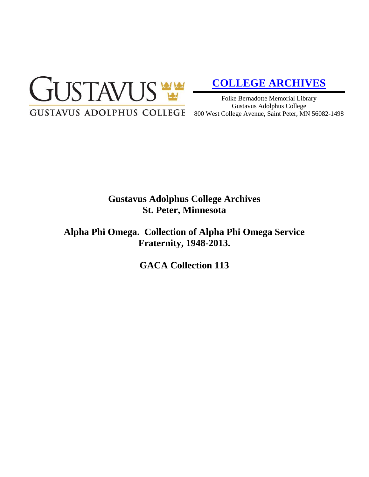

# **[COLLEGE ARCHIVES](http://gustavus.edu/academics/library/archives/)**

Folke Bernadotte Memorial Library Gustavus Adolphus College 800 West College Avenue, Saint Peter, MN 56082-1498

# **Gustavus Adolphus College Archives St. Peter, Minnesota**

**Alpha Phi Omega. Collection of Alpha Phi Omega Service Fraternity, 1948-2013.**

**GACA Collection 113**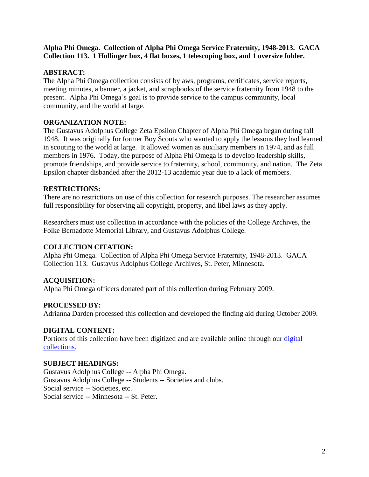## **Alpha Phi Omega. Collection of Alpha Phi Omega Service Fraternity, 1948-2013. GACA Collection 113. 1 Hollinger box, 4 flat boxes, 1 telescoping box, and 1 oversize folder.**

# **ABSTRACT:**

The Alpha Phi Omega collection consists of bylaws, programs, certificates, service reports, meeting minutes, a banner, a jacket, and scrapbooks of the service fraternity from 1948 to the present. Alpha Phi Omega's goal is to provide service to the campus community, local community, and the world at large.

# **ORGANIZATION NOTE:**

The Gustavus Adolphus College Zeta Epsilon Chapter of Alpha Phi Omega began during fall 1948. It was originally for former Boy Scouts who wanted to apply the lessons they had learned in scouting to the world at large. It allowed women as auxiliary members in 1974, and as full members in 1976. Today, the purpose of Alpha Phi Omega is to develop leadership skills, promote friendships, and provide service to fraternity, school, community, and nation. The Zeta Epsilon chapter disbanded after the 2012-13 academic year due to a lack of members.

## **RESTRICTIONS:**

There are no restrictions on use of this collection for research purposes. The researcher assumes full responsibility for observing all copyright, property, and libel laws as they apply.

Researchers must use collection in accordance with the policies of the College Archives, the Folke Bernadotte Memorial Library, and Gustavus Adolphus College.

#### **COLLECTION CITATION:**

Alpha Phi Omega. Collection of Alpha Phi Omega Service Fraternity, 1948-2013. GACA Collection 113. Gustavus Adolphus College Archives, St. Peter, Minnesota.

# **ACQUISITION:**

Alpha Phi Omega officers donated part of this collection during February 2009.

#### **PROCESSED BY:**

Adrianna Darden processed this collection and developed the finding aid during October 2009.

#### **DIGITAL CONTENT:**

Portions of this collection have been digitized and are available online through our [digital](https://archives.gac.edu/digital/)  [collections.](https://archives.gac.edu/digital/)

#### **SUBJECT HEADINGS:**

Gustavus Adolphus College -- Alpha Phi Omega. Gustavus Adolphus College -- Students -- Societies and clubs. Social service -- Societies, etc. Social service -- Minnesota -- St. Peter.